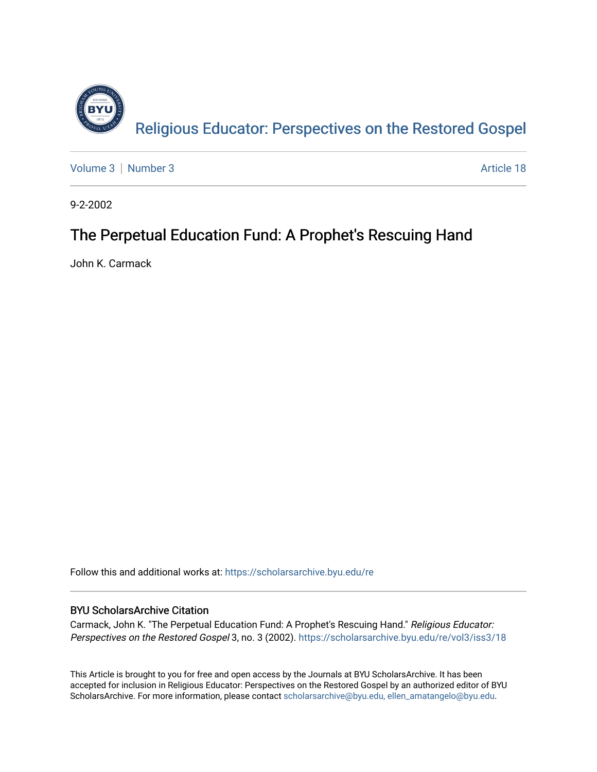

[Volume 3](https://scholarsarchive.byu.edu/re/vol3) | [Number 3](https://scholarsarchive.byu.edu/re/vol3/iss3) Article 18

9-2-2002

#### The Perpetual Education Fund: A Prophet's Rescuing Hand

John K. Carmack

Follow this and additional works at: [https://scholarsarchive.byu.edu/re](https://scholarsarchive.byu.edu/re?utm_source=scholarsarchive.byu.edu%2Fre%2Fvol3%2Fiss3%2F18&utm_medium=PDF&utm_campaign=PDFCoverPages)

#### BYU ScholarsArchive Citation

Carmack, John K. "The Perpetual Education Fund: A Prophet's Rescuing Hand." Religious Educator: Perspectives on the Restored Gospel 3, no. 3 (2002). https://scholarsarchive.byu.edu/re/vol3/iss3/18

This Article is brought to you for free and open access by the Journals at BYU ScholarsArchive. It has been accepted for inclusion in Religious Educator: Perspectives on the Restored Gospel by an authorized editor of BYU ScholarsArchive. For more information, please contact [scholarsarchive@byu.edu, ellen\\_amatangelo@byu.edu.](mailto:scholarsarchive@byu.edu,%20ellen_amatangelo@byu.edu)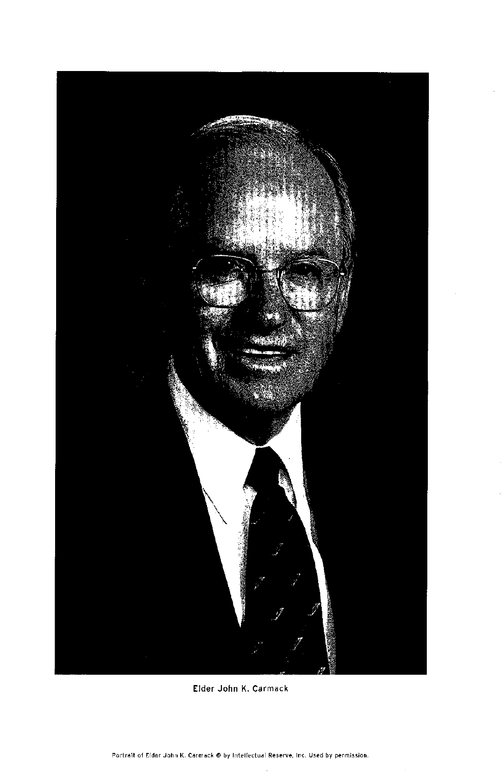

Elder John K. Carmack

Portrait of Elder John K. Carmack @ by Intellectual Reserve, Inc. Used by permission.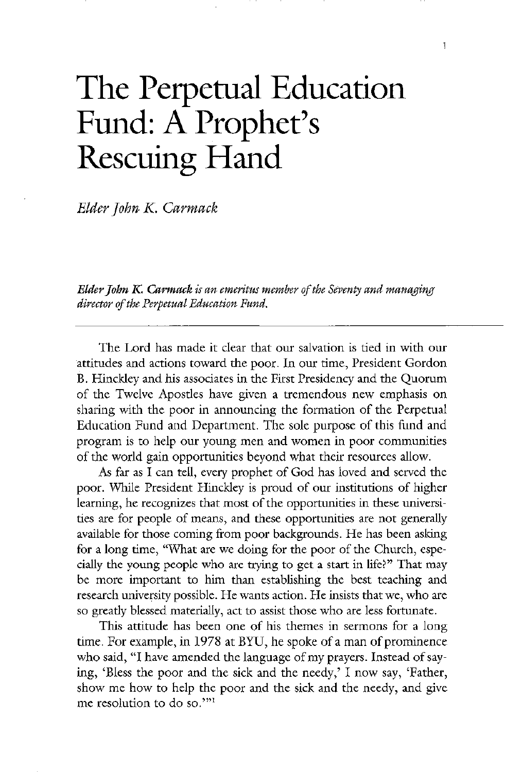# The Perpetual Education Fund: A Prophet's Rescuing Hand

Elder John K. Carmack

Elder John K. Carmack is an emeritus member of the Seventy and managing director of the Perpetual Education Fund.

The Lord has made it clear that our salvation is tied in with our attitudes and actions toward the poor. In our time, President Gordon B. Hinckley and his associates in the First Presidency and the Quorum of the Twelve Apostles have given a tremendous new emphasis on sharing with the poor in announcing the formation of the perpetual Education Fund and Department. The sole purpose of this fund and program is to help our young men and women in poor communities of the world gain opportunities beyond what their resources allow As far as I can tell, every prophet of God has loved and served the poor. While President Hinckley is proud of our institutions of higher learning, he recognizes that most of the opportunities in these universities are for people of means, and these opportunities are not generally available for those coming from poor backgrounds. He has been asking for a long time, "What are we doing for the poor of the Church, especially the young people who are trying to get a start in life?" That may be more important to him than establishing the best teaching and research university possible. He wants action. He insists that we, who are so greatly blessed materially, act to assist those who are less fortunate. This attitude has been one of his themes in sermons for a long time. For example, in 1978 at BYU, he spoke of a man of prominence who said, "I have amended the language of my prayers. Instead of saying, 'Bless the poor and the sick and the needy,' I now say, 'Father, show me how to help the poor and the sick and the needy, and give me resolution to do so."<sup>11</sup>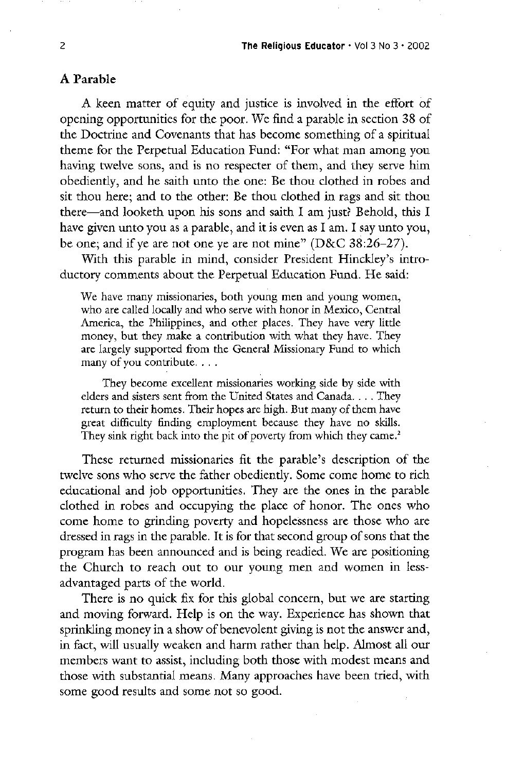A keen matter of equity and justice is involved in the effort of opening opportunities for the poor. We find a parable in section 38 of the Doctrine and Covenants that has become something of a spiritual theme for the Perpetual Education Fund: "For what man among you having twelve sons, and is no respecter of them, and they serve him obediently, and he saith unto the one: Be thou clothed in robes and sit thou here; and to the other: Be thou clothed in rags and sit thou there—and looketh upon his sons and saith I am just? Behold, this I have given unto you as a parable, and it is even as I am. I say unto you, be one; and if ye are not one ye are not mine"  $(D&C 38:26-27)$ .

With this parable in mind, consider President Hinckley's introductory comments about the Perpetual Education Fund. He said:

We have many missionaries, both young men and young women, who are called locally and who serve with honor in Mexico, Central America, the Philippines, and other places. They have very little money, but they make a contribution with what they have. They are largely supported from the General Missionary Fund to which many of you contribute. . . .

They become excellent missionaries working side by side with elders and sisters sent from the United States and Canada.... They return to their homes. Their hopes are high. But many of them have great difficulty finding employment because they have no skills They sink right back into the pit of poverty from which they came.<sup>2</sup>

#### A parable

These returned missionaries fit the parable's description of the twelve sons who serve the father obediently. Some come home to rich educational and job opportunities. They are the ones in the parable clothed in robes and occupying the place of honor. The ones who come home to grinding poverty and hopelessness are those who are dressed in rags in the parable. It is for that second group of sons that the program has been announced and is being readied. We are positioning the church to reach out to our young men and women in less advantaged parts of the world

There is no quick fix for this global concern, but we are starting and moving forward. Help is on the way. Experience has shown that sprinkling money in a show of benevolent giving is not the answer and in fact, will usually weaken and harm rather than help. Almost all our members want to assist, including both those with modest means and those with substantial means. Many approaches have been tried, with some good results and some not so good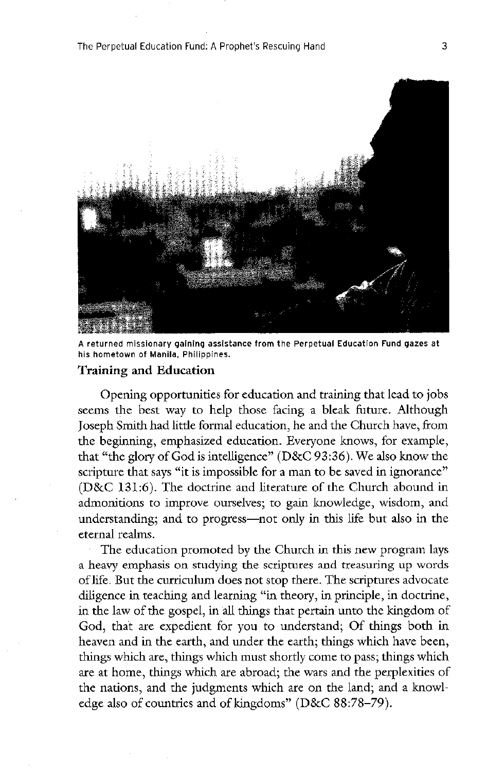

A returned missionary gaining assistance from the Perpetual Education Fund gazes at his hometown of Manila, Philippines.

#### Training and Education

#### The Perpetual Education Fund: A Prophet's Rescuing Hand 3

opening opportunities for education and training that lead to jobs seems the best way to help those facing a bleak future. Although Joseph Smith had little formal education, he and the Church have, from the beginning, emphasized education. Everyone knows, for example, that "the glory of God is intelligence"  $(D&C 93:36)$ . We also know the scripture that says "it is impossible for a man to be saved in ignorance"  $(D&C 131:6)$ . The doctrine and literature of the Church abound in admonitions to improve ourselves; to gain knowledge, wisdom, and understanding; and to progress—not only in this life but also in the eternal realms

The education promoted by the Church in this new program lays a heavy emphasis on studying the scriptures and treasuring up words of life. But the curriculum does not stop there. The scriptures advocate diligence in teaching and learning "in theory, in principle, in doctrine, in the law of the gospel, in all things that pertain unto the kingdom of God, that are expedient for you to understand; Of things both in heaven and in the earth, and under the earth; things which have been, things which are, things which must shortly come to pass; things which are at home, things which are abroad; the wars and the perplexities of the nations, and the judgments which are on the land; and a knowledge also of countries and of kingdoms" ( $D&C 88:78-79$ ).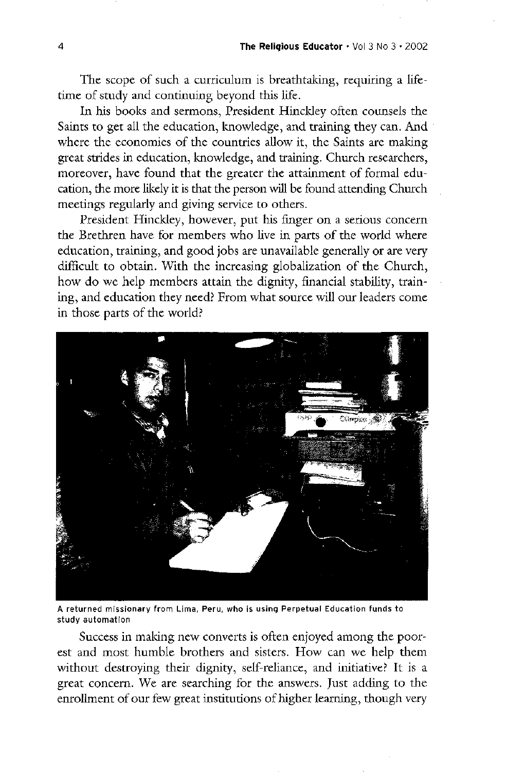The scope of such a curriculum is breathtaking, requiring a lifetime of study and continuing beyond this life.

In his books and sermons, President Hinckley often counsels the Saints to get all the education, knowledge, and training they can. And where the economies of the countries allow it, the Saints are making great strides in education, knowledge, and training. Church researchers, moreover, have found that the greater the attainment of formal education, the more likely it is that the person will be found attending Church meetings regularly and giving service to others

President Hinckley, however, put his finger on a serious concern the brethren have for members who live in parts of the world where education, training, and good jobs are unavailable generally or are very difficult to obtain. With the increasing globalization of the Church, how do we help members attain the dignity, financial stability, training, and education they need? From what source will our leaders come in those parts of the world?



A returned missionary from Lima, Peru, who is using Perpetual Education funds to study automation

success in making new converts is often enjoyed among the poorest and most humble brothers and sisters. How can we help them without destroying their dignity, self-reliance, and initiative? It is a great concern. We are searching for the answers. Just adding to the enrollment of our few great institutions of higher learning, though very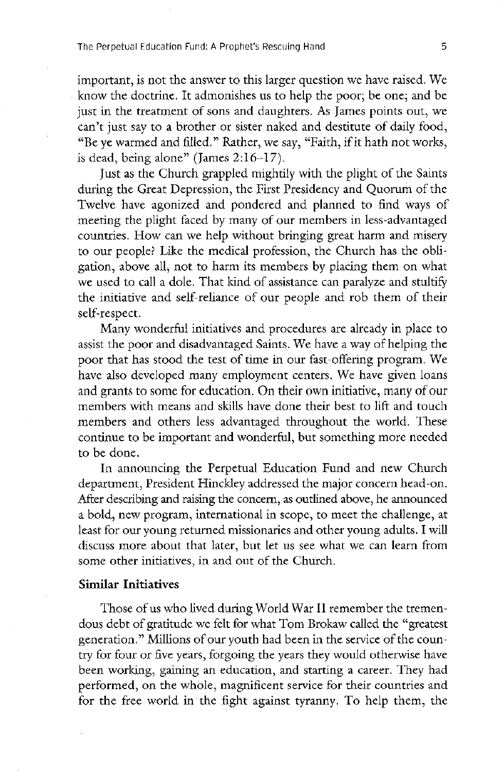important, is not the answer to this larger question we have raised. We know the doctrine. It admonishes us to help the poor; be one; and be just in the treatment of sons and daughters. As James points out, we can't just say to a brother or sister naked and destitute of daily food, "Be ye warmed and filled." Rather, we say, "Faith, if it hath not works, is dead, being alone" (James  $2:16 - 17$ ).

just as the church grappled mightily with the plight of the saints during the Great Depression, the First Presidency and Quorum of the Twelve have agonized and pondered and planned to find ways of meeting the plight faced by many of our members in less-advantaged countries. How can we help without bringing great harm and misery to our people? Like the medical profession, the Church has the obligation, above all, not to harm its members by placing them on what we used to call a dole. That kind of assistance can paralyze and stultify the initiative and self-reliance of our people and rob them of their self-respect.

Many wonderful initiatives and procedures are already in place to assist the poor and disadvantaged Saints. We have a way of helping the poor that has stood the test of time in our fast-offering program. We have also developed many employment centers. We have given loans and grants to some for education. On their own initiative, many of our members with means and skills have done their best to lift and touch members and others less advantaged throughout the world. These continue to be important and wonderful, but something more needed to be done In announcing the Perpetual Education Fund and new Church department, President Hinckley addressed the major concern head-on. After describing and raising the concern, as outlined above, he announced a bold, new program, international in scope, to meet the challenge, at least for our young returned missionaries and other young adults. I will discuss more about that later, but let us see what we can learn from some other initiatives, in and out of the Church.

#### Similar Initiatives

Those of us who lived during World War II remember the tremendous debt of gratitude we felt for what Tom Brokaw called the "greatest" generation." Millions of our youth had been in the service of the country for four or five years forgoing the years they would otherwise have been working, gaining an education, and starting a career. They had performed, on the whole, magnificent service for their countries and for the free world in the fight against tyranny. To help them, the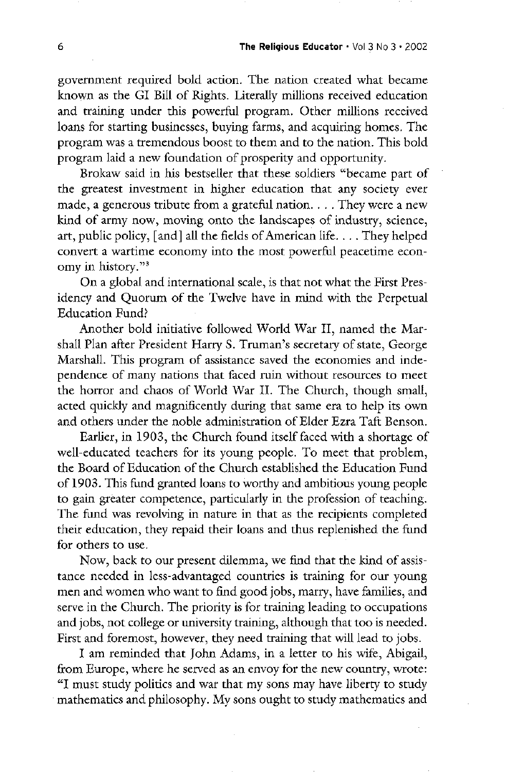government required bold action. The nation created what became known as the GI Bill of Rights. Literally millions received education and training under this powerful program. Other millions received loans for starting businesses, buying farms, and acquiring homes. The program was a tremendous boost to them and to the nation. This bold program laid a new foundation of prosperity and opportunity

Brokaw said in his bestseller that these soldiers "became part of the greatest investment in higher education that any society ever made, a generous tribute from a grateful nation.  $\ldots$  They were a new kind of army now, moving onto the landscapes of industry, science, art, public policy, [and] all the fields of American life.... They helped convert a wartime economy into the most powerful peacetime economy in history." $3$ 

On a global and international scale, is that not what the First Presidency and Quorum of the Twelve have in mind with the Perpetual Education Fund?

Another bold initiative followed World War II, named the Marshall Plan after President Harry S. Truman's secretary of state, George Marshall. This program of assistance saved the economies and independence of many nations that faced ruin without resources to meet

the horror and chaos of World War II. The Church, though small, acted quickly and magnificently during that same era to help its own and others under the noble administration of Elder Ezra Taft Benson.

Earlier, in 1903, the Church found itself faced with a shortage of well-educated teachers for its young people. To meet that problem, the Board of Education of the Church established the Education Fund of 1903. This fund granted loans to worthy and ambitious young people to gain greater competence, particularly in the profession of teaching. The fund was revolving in nature in that as the recipients completed their education, they repaid their loans and thus replenished the fund for others to use

Now, back to our present dilemma, we find that the kind of assistance needed in less-advantaged countries is training for our young men and women who want to find good jobs, marry, have families, and serve in the Church. The priority is for training leading to occupations and jobs, not college or university training, although that too is needed. First and foremost, however, they need training that will lead to jobs.

I am reminded that John Adams, in a letter to his wife, Abigail, from Europe, where he served as an envoy for the new country, wrote: <sup>1</sup>I must study politics and war that my sons may have liberty to study mathematics and philosophy. My sons ought to study mathematics and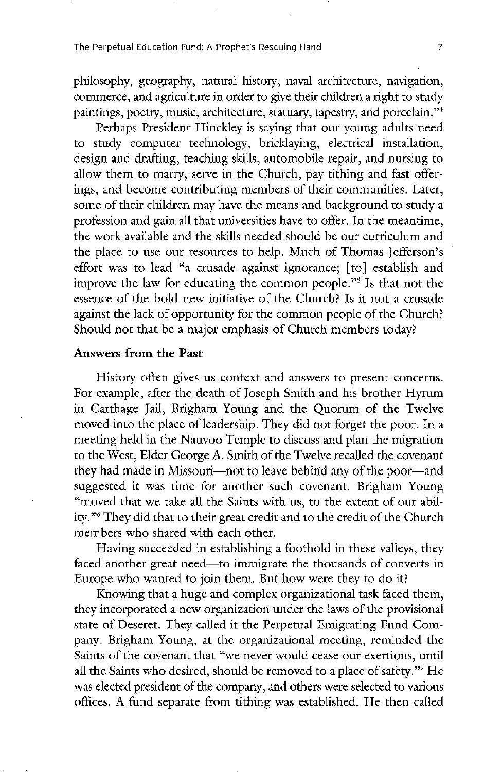The Perpetual Education Fund: A Prophet's Rescuing Hand 7 7

philosophy, geography, natural history, naval architecture, navigation, commerce, and agriculture in order to give their children a right to study paintings, poetry, music, architecture, statuary, tapestry, and porcelain."<sup>4</sup>

Perhaps President Hinckley is saying that our young adults need to study computer technology, bricklaying, electrical installation, design and drafting, teaching skills, automobile repair, and nursing to allow them to marry, serve in the Church, pay tithing and fast offerings, and become contributing members of their communities. Later, some of their children may have the means and background to study a profession and gain all that universities have to offer. In the meantime, the work available and the skills needed should be our curriculum and the place to use our resources to help. Much of Thomas Jefferson's effort was to lead "a crusade against ignorance; [to] establish and improve the law for educating the common people."<sup>5</sup> Is that not the essence of the bold new initiative of the Church? Is it not a crusade against the lack of opportunity for the common people of the Church? should not that be a major emphasis of church members today

#### Answers from the Past

History often gives us context and answers to present concerns.

For example, after the death of Joseph Smith and his brother Hyrum in Carthage Jail, Brigham Young and the Quorum of the Twelve moved into the place of leadership. They did not forget the poor. In a meeting held in the Nauvoo Temple to discuss and plan the migration to the West, Elder George A. Smith of the Twelve recalled the covenant they had made in Missouri—not to leave behind any of the poor—and suggested it was time for another such covenant. Brigham Young "moved that we take all the Saints with us, to the extent of our ability."<sup>6</sup> They did that to their great credit and to the credit of the Church members who shared with each other

Having succeeded in establishing a foothold in these valleys, they faced another great need—to immigrate the thousands of converts in Europe who wanted to join them. But how were they to do it?

Knowing that a huge and complex organizational task faced them, they incorporated a new organization under the laws of the provisional state of Deseret. They called it the Perpetual Emigrating Fund Company. Brigham Young, at the organizational meeting, reminded the Saints of the covenant that "we never would cease our exertions, until all the Saints who desired, should be removed to a place of safety."<sup>7</sup> He was elected president of the company, and others were selected to various offices. A fund separate from tithing was established. He then called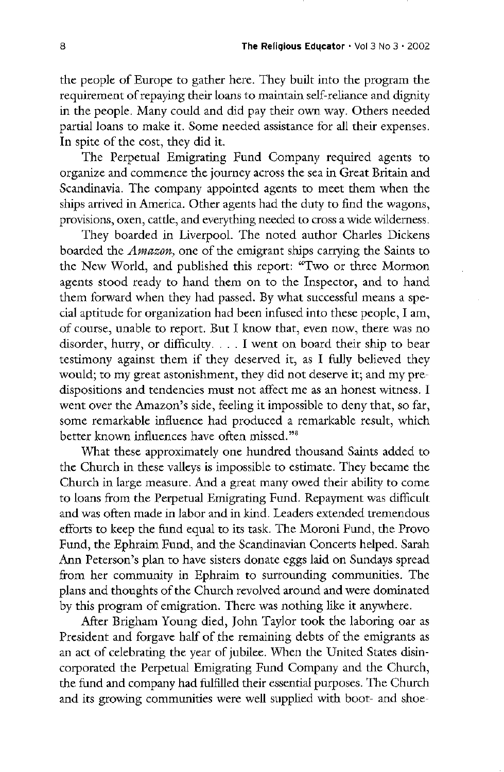the people of Europe to gather here. They built into the program the requirement of repaying their loans to maintain self-reliance and dignity in the people. Many could and did pay their own way. Others needed partial loans to make it. Some needed assistance for all their expenses. In spite of the cost, they did it.

The Perpetual Emigrating Fund Company required agents to organize and commence the journey across the sea in Great Britain and Scandinavia. The company appointed agents to meet them when the ships arrived in America. Other agents had the duty to find the wagons, provisions, oxen, cattle, and everything needed to cross a wide wilderness.

They boarded in Liverpool. The noted author Charles Dickens boarded the *Amazon*, one of the emigrant ships carrying the Saints to the New World, and published this report: "Two or three Mormon agents stood ready to hand them on to the Inspector, and to hand them forward when they had passed. By what successful means a special aptitude for organization had been infused into these people, I am, of course, unable to report. But I know that, even now, there was no disorder, hurry, or difficulty.  $\ldots$  I went on board their ship to bear testimony against them if they deserved it, as I fully believed they would; to my great astonishment, they did not deserve it; and my predispositions and tendencies must not affect me as an honest witness. I went over the Amazon's side, feeling it impossible to deny that, so far, some remarkable influence had produced a remarkable result, which better known influences have often missed."<sup>8</sup> what these approximately one hundred thousand saints added to the Church in these valleys is impossible to estimate. They became the Church in large measure. And a great many owed their ability to come to loans from the Perpetual Emigrating Fund. Repayment was difficult and was often made in labor and in kind. Leaders extended tremendous efforts to keep the fund equal to its task. The Moroni Fund, the Provo Fund, the Ephraim Fund, and the Scandinavian Concerts helped. Sarah Ann Peterson's plan to have sisters donate eggs laid on Sundays spread from her community in Ephraim to surrounding communities. The plans and thoughts of the Church revolved around and were dominated by this program of emigration. There was nothing like it anywhere. After Brigham Young died, John Taylor took the laboring oar as president and forgave half of the remaining debts of the emigrants as an act of celebrating the year of jubilee. When the United States disincorporated the Perpetual Emigrating Fund Company and the Church, the fund and company had fulfilled their essential purposes. The Church and its growing communities were well supplied with boot- and shoe-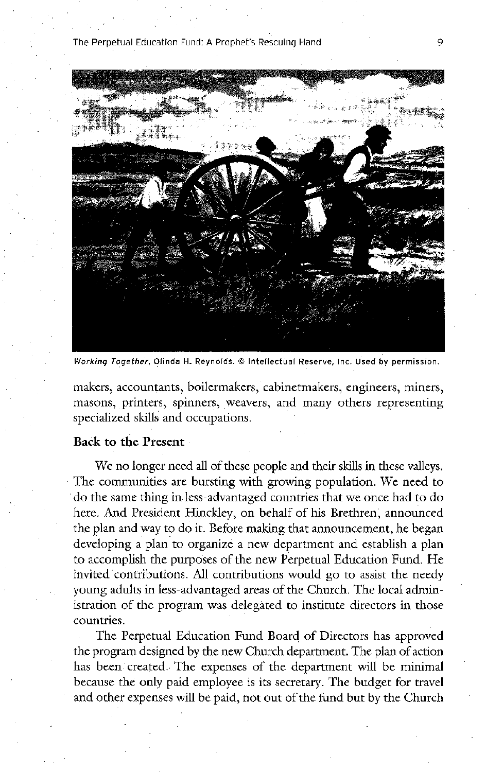#### the perpetual education fund <sup>A</sup> prophets rescuing hand 9



Working Together, Olinda H. Reynolds. @ Intellectual Reserve, Inc. Used by permission.

makers, accountants, boilermakers, cabinetmakers, engineers, miners, masons, printers, spinners, weavers, and many others representing specialized skills and occupations.

### Back to the Present

We no longer need all of these people and their skills in these valleys. The communities are bursting with growing population. We need to do the same thing in less advantaged countries that we once had to do here. And President Hinckley, on behalf of his Brethren, announced the plan and way to do it. Before making that announcement, he began developing a plan to organize a new department and establish a plan to accomplish the purposes of the new Perpetual Education Fund. He invited contributions. All contributions would go to assist the needy young adults in less-advantaged areas of the Church. The local administration of the program was delegated to institute directors in those countries

The Perpetual Education Fund Board of Directors has approved the program designed by the new Church department. The plan of action has been created. The expenses of the department will be minimal because the only paid employee is its secretary. The budget for travel and other expenses will be paid, not out of the fund but by the Church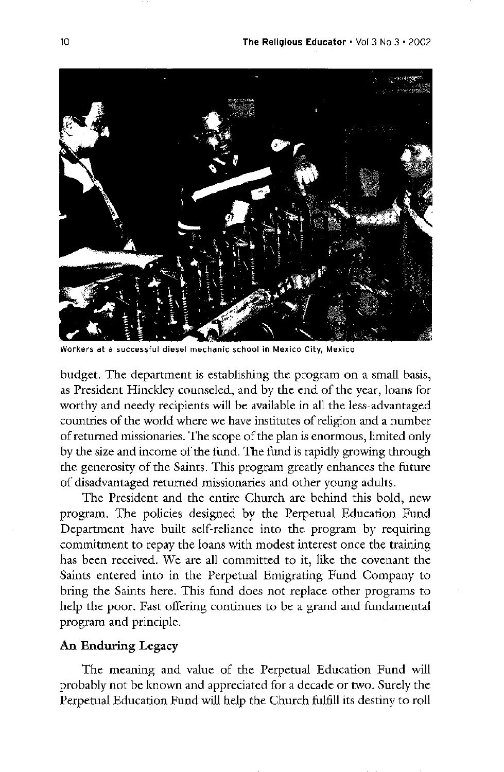

Workers at a successful diesel mechanic school in Mexico City, Mexico

budget. The department is establishing the program on a small basis, as President Hinckley counseled, and by the end of the year, loans for worthy and needy recipients will be available in all the less-advantaged countries of the world where we have institutes of religion and a number of returned missionaries. The scope of the plan is enormous, limited only by the size and income of the fund. The fund is rapidly growing through the generosity of the Saints. This program greatly enhances the future of disadvantaged returned missionaries and other young adults The President and the entire Church are behind this bold, new program. The policies designed by the Perpetual Education Fund Department have built self-reliance into the program by requiring commitment to repay the loans with modest interest once the training has been received. We are all committed to it, like the covenant the Saints entered into in the Perpetual Emigrating Fund Company to bring the Saints here. This fund does not replace other programs to help the poor. Fast offering continues to be a grand and fundamental program and principle

## An Enduring Legacy

The meaning and value of the Perpetual Education Fund will probably not be known and appreciated for a decade or two. Surely the Perpetual Education Fund will help the Church fulfill its destiny to roll